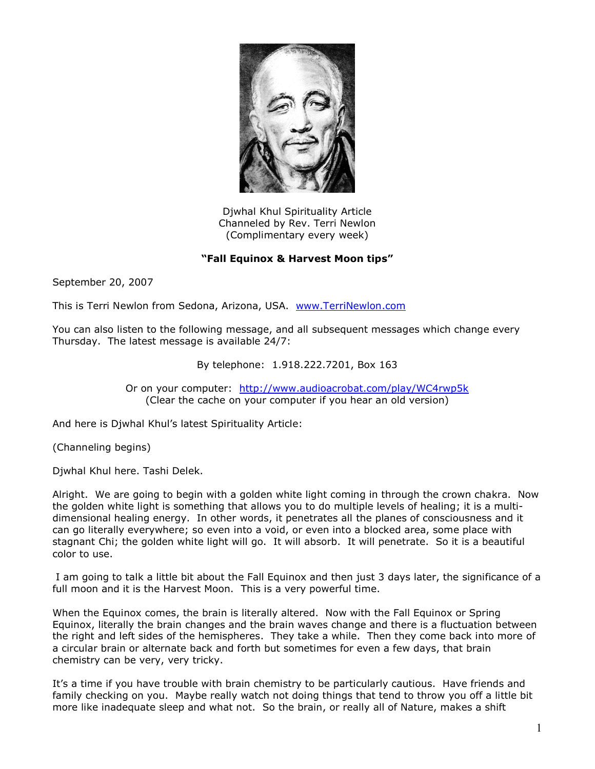

Djwhal Khul Spirituality Article Channeled by Rev. Terri Newlon (Complimentary every week)

## **"Fall Equinox & Harvest Moon tips"**

September 20, 2007

This is Terri Newlon from Sedona, Arizona, USA. [www.TerriNewlon.com](http://www.terrinewlon.com/)

You can also listen to the following message, and all subsequent messages which change every Thursday. The latest message is available 24/7:

By telephone: 1.918.222.7201, Box 163

Or on your computer: <http://www.audioacrobat.com/play/WC4rwp5k> (Clear the cache on your computer if you hear an old version)

And here is Djwhal Khul's latest Spirituality Article:

(Channeling begins)

Djwhal Khul here. Tashi Delek.

Alright. We are going to begin with a golden white light coming in through the crown chakra. Now the golden white light is something that allows you to do multiple levels of healing; it is a multidimensional healing energy. In other words, it penetrates all the planes of consciousness and it can go literally everywhere; so even into a void, or even into a blocked area, some place with stagnant Chi; the golden white light will go. It will absorb. It will penetrate. So it is a beautiful color to use.

 I am going to talk a little bit about the Fall Equinox and then just 3 days later, the significance of a full moon and it is the Harvest Moon. This is a very powerful time.

When the Equinox comes, the brain is literally altered. Now with the Fall Equinox or Spring Equinox, literally the brain changes and the brain waves change and there is a fluctuation between the right and left sides of the hemispheres. They take a while. Then they come back into more of a circular brain or alternate back and forth but sometimes for even a few days, that brain chemistry can be very, very tricky.

It's a time if you have trouble with brain chemistry to be particularly cautious. Have friends and family checking on you. Maybe really watch not doing things that tend to throw you off a little bit more like inadequate sleep and what not. So the brain, or really all of Nature, makes a shift